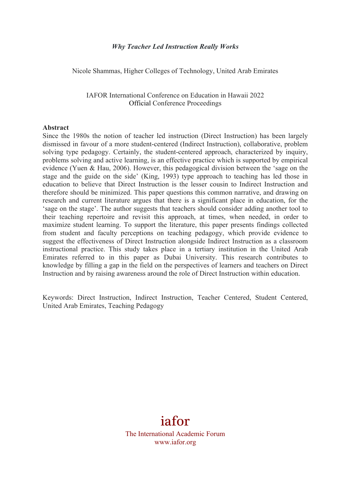#### *Why Teacher Led Instruction Really Works*

Nicole Shammas, Higher Colleges of Technology, United Arab Emirates

IAFOR International Conference on Education in Hawaii 2022 Official Conference Proceedings

#### **Abstract**

Since the 1980s the notion of teacher led instruction (Direct Instruction) has been largely dismissed in favour of a more student-centered (Indirect Instruction), collaborative, problem solving type pedagogy. Certainly, the student-centered approach, characterized by inquiry, problems solving and active learning, is an effective practice which is supported by empirical evidence (Yuen & Hau, 2006). However, this pedagogical division between the 'sage on the stage and the guide on the side' (King, 1993) type approach to teaching has led those in education to believe that Direct Instruction is the lesser cousin to Indirect Instruction and therefore should be minimized. This paper questions this common narrative, and drawing on research and current literature argues that there is a significant place in education, for the 'sage on the stage'. The author suggests that teachers should consider adding another tool to their teaching repertoire and revisit this approach, at times, when needed, in order to maximize student learning. To support the literature, this paper presents findings collected from student and faculty perceptions on teaching pedagogy, which provide evidence to suggest the effectiveness of Direct Instruction alongside Indirect Instruction as a classroom instructional practice. This study takes place in a tertiary institution in the United Arab Emirates referred to in this paper as Dubai University. This research contributes to knowledge by filling a gap in the field on the perspectives of learners and teachers on Direct Instruction and by raising awareness around the role of Direct Instruction within education.

Keywords: Direct Instruction, Indirect Instruction, Teacher Centered, Student Centered, United Arab Emirates, Teaching Pedagogy

# iafor

The International Academic Forum www.iafor.org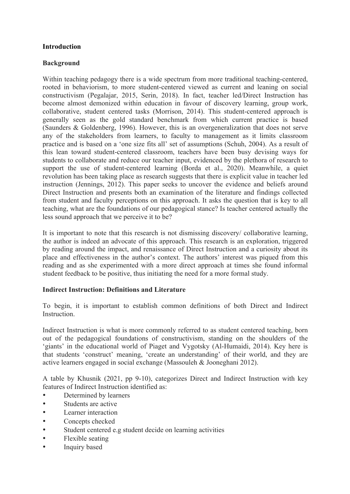## **Introduction**

## **Background**

Within teaching pedagogy there is a wide spectrum from more traditional teaching-centered, rooted in behaviorism, to more student-centered viewed as current and leaning on social constructivism (Pegalajar, 2015, Serin, 2018). In fact, teacher led/Direct Instruction has become almost demonized within education in favour of discovery learning, group work, collaborative, student centered tasks (Morrison, 2014). This student-centered approach is generally seen as the gold standard benchmark from which current practice is based (Saunders & Goldenberg, 1996). However, this is an overgeneralization that does not serve any of the stakeholders from learners, to faculty to management as it limits classroom practice and is based on a 'one size fits all' set of assumptions (Schuh, 2004). As a result of this lean toward student-centered classroom, teachers have been busy devising ways for students to collaborate and reduce our teacher input, evidenced by the plethora of research to support the use of student-centered learning (Borda et al., 2020). Meanwhile, a quiet revolution has been taking place as research suggests that there is explicit value in teacher led instruction (Jennings, 2012). This paper seeks to uncover the evidence and beliefs around Direct Instruction and presents both an examination of the literature and findings collected from student and faculty perceptions on this approach. It asks the question that is key to all teaching, what are the foundations of our pedagogical stance? Is teacher centered actually the less sound approach that we perceive it to be?

It is important to note that this research is not dismissing discovery/ collaborative learning, the author is indeed an advocate of this approach. This research is an exploration, triggered by reading around the impact, and renaissance of Direct Instruction and a curiosity about its place and effectiveness in the author's context. The authors' interest was piqued from this reading and as she experimented with a more direct approach at times she found informal student feedback to be positive, thus initiating the need for a more formal study.

## **Indirect Instruction: Definitions and Literature**

To begin, it is important to establish common definitions of both Direct and Indirect **Instruction** 

Indirect Instruction is what is more commonly referred to as student centered teaching, born out of the pedagogical foundations of constructivism, standing on the shoulders of the 'giants' in the educational world of Piaget and Vygotsky (Al-Humaidi, 2014). Key here is that students 'construct' meaning, 'create an understanding' of their world, and they are active learners engaged in social exchange (Massouleh & Jooneghani 2012).

A table by Khusnik (2021, pp 9-10), categorizes Direct and Indirect Instruction with key features of Indirect Instruction identified as:

- Determined by learners
- Students are active
- Learner interaction
- Concepts checked
- Student centered e.g student decide on learning activities
- Flexible seating
- Inquiry based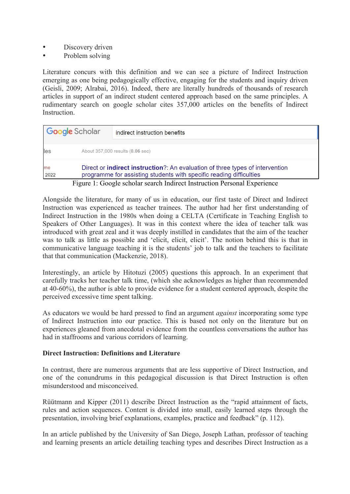- Discovery driven
- Problem solving

Literature concurs with this definition and we can see a picture of Indirect Instruction emerging as one being pedagogically effective, engaging for the students and inquiry driven (Geisli, 2009; Alrabai, 2016). Indeed, there are literally hundreds of thousands of research articles in support of an indirect student centered approach based on the same principles. A rudimentary search on google scholar cites 357,000 articles on the benefits of Indirect Instruction.

|            | Google Scholar | indirect instruction benefits                                                                                                                                |
|------------|----------------|--------------------------------------------------------------------------------------------------------------------------------------------------------------|
| les        |                | About 357,000 results (0.06 sec)                                                                                                                             |
| me<br>2022 |                | Direct or <b>indirect instruction</b> ?: An evaluation of three types of intervention<br>programme for assisting students with specific reading difficulties |
|            |                | Figure 1: Google scholar search Indirect Instruction Personal Experience                                                                                     |

Alongside the literature, for many of us in education, our first taste of Direct and Indirect Instruction was experienced as teacher trainees. The author had her first understanding of Indirect Instruction in the 1980s when doing a CELTA (Certificate in Teaching English to Speakers of Other Languages). It was in this context where the idea of teacher talk was introduced with great zeal and it was deeply instilled in candidates that the aim of the teacher was to talk as little as possible and 'elicit, elicit, elicit'. The notion behind this is that in communicative language teaching it is the students' job to talk and the teachers to facilitate that that communication (Mackenzie, 2018).

Interestingly, an article by Hitotuzi (2005) questions this approach. In an experiment that carefully tracks her teacher talk time, (which she acknowledges as higher than recommended at 40-60%), the author is able to provide evidence for a student centered approach, despite the perceived excessive time spent talking.

As educators we would be hard pressed to find an argument *against* incorporating some type of Indirect Instruction into our practice. This is based not only on the literature but on experiences gleaned from anecdotal evidence from the countless conversations the author has had in staffrooms and various corridors of learning.

## **Direct Instruction: Definitions and Literature**

In contrast, there are numerous arguments that are less supportive of Direct Instruction, and one of the conundrums in this pedagogical discussion is that Direct Instruction is often misunderstood and misconceived.

Rüütmann and Kipper (2011) describe Direct Instruction as the "rapid attainment of facts, rules and action sequences. Content is divided into small, easily learned steps through the presentation, involving brief explanations, examples, practice and feedback" (p. 112).

In an article published by the University of San Diego, Joseph Lathan, professor of teaching and learning presents an article detailing teaching types and describes Direct Instruction as a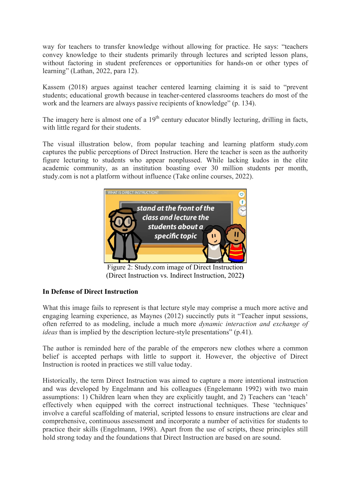way for teachers to transfer knowledge without allowing for practice. He says: "teachers convey knowledge to their students primarily through lectures and scripted lesson plans, without factoring in student preferences or opportunities for hands-on or other types of learning" (Lathan, 2022, para 12).

Kassem (2018) argues against teacher centered learning claiming it is said to "prevent students; educational growth because in teacher-centered classrooms teachers do most of the work and the learners are always passive recipients of knowledge" (p. 134).

The imagery here is almost one of a  $19<sup>th</sup>$  century educator blindly lecturing, drilling in facts, with little regard for their students.

The visual illustration below, from popular teaching and learning platform study.com captures the public perceptions of Direct Instruction. Here the teacher is seen as the authority figure lecturing to students who appear nonplussed. While lacking kudos in the elite academic community, as an institution boasting over 30 million students per month, study.com is not a platform without influence (Take online courses, 2022).



Figure 2: Study.com image of Direct Instruction (Direct Instruction vs. Indirect Instruction, 2022**)**

## **In Defense of Direct Instruction**

What this image fails to represent is that lecture style may comprise a much more active and engaging learning experience, as Maynes (2012) succinctly puts it "Teacher input sessions, often referred to as modeling, include a much more *dynamic interaction and exchange of ideas* than is implied by the description lecture-style presentations" (p.41).

The author is reminded here of the parable of the emperors new clothes where a common belief is accepted perhaps with little to support it. However, the objective of Direct Instruction is rooted in practices we still value today.

Historically, the term Direct Instruction was aimed to capture a more intentional instruction and was developed by Engelmann and his colleagues (Engelemann 1992) with two main assumptions: 1) Children learn when they are explicitly taught, and 2) Teachers can 'teach' effectively when equipped with the correct instructional techniques. These 'techniques' involve a careful scaffolding of material, scripted lessons to ensure instructions are clear and comprehensive, continuous assessment and incorporate a number of activities for students to practice their skills (Engelmann, 1998). Apart from the use of scripts, these principles still hold strong today and the foundations that Direct Instruction are based on are sound.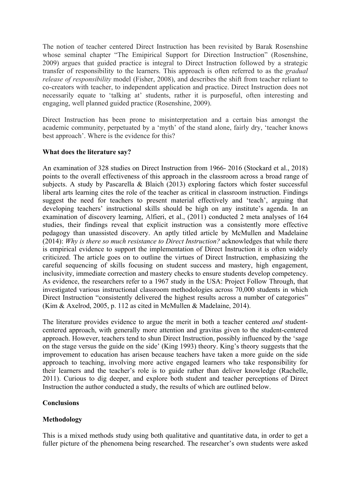The notion of teacher centered Direct Instruction has been revisited by Barak Rosenshine whose seminal chapter "The Emipirical Support for Direction Instruction" (Rosenshine, 2009) argues that guided practice is integral to Direct Instruction followed by a strategic transfer of responsibility to the learners. This approach is often referred to as the *gradual release of responsibility* model (Fisher, 2008), and describes the shift from teacher reliant to co-creators with teacher, to independent application and practice. Direct Instruction does not necessarily equate to 'talking at' students, rather it is purposeful, often interesting and engaging, well planned guided practice (Rosenshine, 2009).

Direct Instruction has been prone to misinterpretation and a certain bias amongst the academic community, perpetuated by a 'myth' of the stand alone, fairly dry, 'teacher knows best approach'. Where is the evidence for this?

## **What does the literature say?**

An examination of 328 studies on Direct Instruction from 1966- 2016 (Stockard et al., 2018) points to the overall effectiveness of this approach in the classroom across a broad range of subjects. A study by Pascarella & Blaich (2013) exploring factors which foster successful liberal arts learning cites the role of the teacher as critical in classroom instruction. Findings suggest the need for teachers to present material effectively and 'teach', arguing that developing teachers' instructional skills should be high on any institute's agenda. In an examination of discovery learning, Alfieri, et al., (2011) conducted 2 meta analyses of 164 studies, their findings reveal that explicit instruction was a consistently more effective pedagogy than unassisted discovery. An aptly titled article by McMullen and Madelaine (2014): *Why is there so much resistance to Direct Instruction?* acknowledges that while there is empirical evidence to support the implementation of Direct Instruction it is often widely criticized. The article goes on to outline the virtues of Direct Instruction, emphasizing the careful sequencing of skills focusing on student success and mastery, high engagement, inclusivity, immediate correction and mastery checks to ensure students develop competency. As evidence, the researchers refer to a 1967 study in the USA: Project Follow Through, that investigated various instructional classroom methodologies across 70,000 students in which Direct Instruction "consistently delivered the highest results across a number of categories" (Kim & Axelrod, 2005, p. 112 as cited in McMullen & Madelaine, 2014).

The literature provides evidence to argue the merit in both a teacher centered *and* studentcentered approach, with generally more attention and gravitas given to the student-centered approach. However, teachers tend to shun Direct Instruction, possibly influenced by the 'sage on the stage versus the guide on the side' (King 1993) theory. King's theory suggests that the improvement to education has arisen because teachers have taken a more guide on the side approach to teaching, involving more active engaged learners who take responsibility for their learners and the teacher's role is to guide rather than deliver knowledge (Rachelle, 2011). Curious to dig deeper, and explore both student and teacher perceptions of Direct Instruction the author conducted a study, the results of which are outlined below.

### **Conclusions**

## **Methodology**

This is a mixed methods study using both qualitative and quantitative data, in order to get a fuller picture of the phenomena being researched. The researcher's own students were asked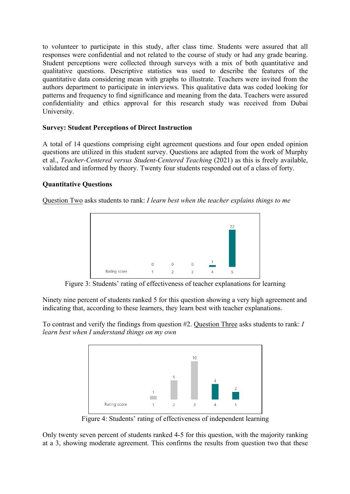to volunteer to participate in this study, after class time. Students were assured that all responses were confidential and not related to the course of study or had any grade bearing. Student perceptions were collected through surveys with a mix of both quantitative and qualitative questions. Descriptive statistics was used to describe the features of the quantitative data considering mean with graphs to illustrate. Teachers were invited from the authors department to participate in interviews. This qualitative data was coded looking for patterns and frequency to find significance and meaning from the data. Teachers were assured confidentiality and ethics approval for this research study was received from Dubai University.

## **Survey: Student Perceptions of Direct Instruction**

A total of 14 questions comprising eight agreement questions and four open ended opinion questions are utilized in this student survey. Questions are adapted from the work of Murphy et al., *Teacher-Centered versus Student-Centered Teaching* (2021) as this is freely available, validated and informed by theory. Twenty four students responded out of a class of forty.

## **Quantitative Questions**

Question Two asks students to rank: *I learn best when the teacher explains things to me*



Figure 3: Students' rating of effectiveness of teacher explanations for learning

Ninety nine percent of students ranked 5 for this question showing a very high agreement and indicating that, according to these learners, they learn best with teacher explanations.

To contrast and verify the findings from question #2. Question Three asks students to rank: *I learn best when I understand things on my own*



Figure 4: Students' rating of effectiveness of independent learning

Only twenty seven percent of students ranked 4-5 for this question, with the majority ranking at a 3, showing moderate agreement. This confirms the results from question two that these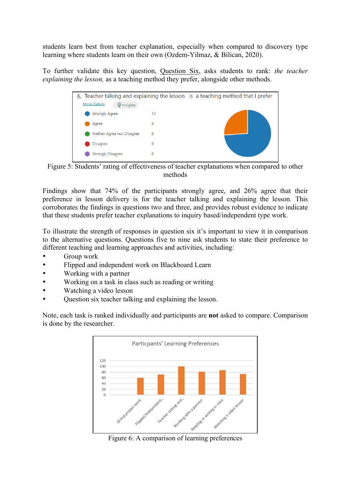students learn best from teacher explanation, especially when compared to discovery type learning where students learn on their own (Ozdem-Yilmaz, & Bilican, 2020).

To further validate this key question, Question Six, asks students to rank: *the teacher explaining the lesson,* as a teaching method they prefer, alongside other methods.



Figure 5: Students' rating of effectiveness of teacher explanations when compared to other methods

Findings show that 74% of the participants strongly agree, and 26% agree that their preference in lesson delivery is for the teacher talking and explaining the lesson*.* This corroborates the findings in questions two and three, and provides robust evidence to indicate that these students prefer teacher explanations to inquiry based/independent type work.

To illustrate the strength of responses in question six it's important to view it in comparison to the alternative questions. Questions five to nine ask students to state their preference to different teaching and learning approaches and activities, including:

- Group work
- Flipped and independent work on Blackboard Learn
- Working with a partner
- Working on a task in class such as reading or writing
- Watching a video lesson
- Question six teacher talking and explaining the lesson.

Note, each task is ranked individually and participants are **not** asked to compare. Comparison is done by the researcher.

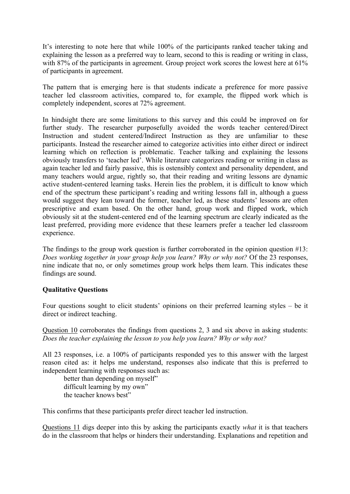It's interesting to note here that while 100% of the participants ranked teacher taking and explaining the lesson as a preferred way to learn, second to this is reading or writing in class, with 87% of the participants in agreement. Group project work scores the lowest here at 61% of participants in agreement.

The pattern that is emerging here is that students indicate a preference for more passive teacher led classroom activities, compared to, for example, the flipped work which is completely independent, scores at 72% agreement.

In hindsight there are some limitations to this survey and this could be improved on for further study. The researcher purposefully avoided the words teacher centered/Direct Instruction and student centered/Indirect Instruction as they are unfamiliar to these participants. Instead the researcher aimed to categorize activities into either direct or indirect learning which on reflection is problematic. Teacher talking and explaining the lessons obviously transfers to 'teacher led'. While literature categorizes reading or writing in class as again teacher led and fairly passive, this is ostensibly context and personality dependent, and many teachers would argue, rightly so, that their reading and writing lessons are dynamic active student-centered learning tasks. Herein lies the problem, it is difficult to know which end of the spectrum these participant's reading and writing lessons fall in, although a guess would suggest they lean toward the former, teacher led, as these students' lessons are often prescriptive and exam based. On the other hand, group work and flipped work, which obviously sit at the student-centered end of the learning spectrum are clearly indicated as the least preferred, providing more evidence that these learners prefer a teacher led classroom experience.

The findings to the group work question is further corroborated in the opinion question #13: *Does working together in your group help you learn? Why or why not?* Of the 23 responses, nine indicate that no, or only sometimes group work helps them learn. This indicates these findings are sound.

### **Qualitative Questions**

Four questions sought to elicit students' opinions on their preferred learning styles – be it direct or indirect teaching.

Question 10 corroborates the findings from questions 2, 3 and six above in asking students: *Does the teacher explaining the lesson to you help you learn? Why or why not?*

All 23 responses, i.e. a 100% of participants responded yes to this answer with the largest reason cited as: it helps me understand, responses also indicate that this is preferred to independent learning with responses such as:

better than depending on myself" difficult learning by my own" the teacher knows best"

This confirms that these participants prefer direct teacher led instruction.

Questions 11 digs deeper into this by asking the participants exactly *what* it is that teachers do in the classroom that helps or hinders their understanding. Explanations and repetition and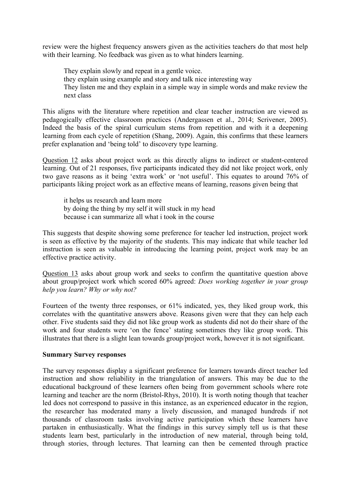review were the highest frequency answers given as the activities teachers do that most help with their learning. No feedback was given as to what hinders learning.

They explain slowly and repeat in a gentle voice. they explain using example and story and talk nice interesting way They listen me and they explain in a simple way in simple words and make review the next class

This aligns with the literature where repetition and clear teacher instruction are viewed as pedagogically effective classroom practices (Andergassen et al., 2014; Scrivener, 2005). Indeed the basis of the spiral curriculum stems from repetition and with it a deepening learning from each cycle of repetition (Shang, 2009). Again, this confirms that these learners prefer explanation and 'being told' to discovery type learning.

Question 12 asks about project work as this directly aligns to indirect or student-centered learning. Out of 21 responses, five participants indicated they did not like project work, only two gave reasons as it being 'extra work' or 'not useful'. This equates to around 76% of participants liking project work as an effective means of learning, reasons given being that

it helps us research and learn more by doing the thing by my self it will stuck in my head because i can summarize all what i took in the course

This suggests that despite showing some preference for teacher led instruction, project work is seen as effective by the majority of the students. This may indicate that while teacher led instruction is seen as valuable in introducing the learning point, project work may be an effective practice activity.

Question 13 asks about group work and seeks to confirm the quantitative question above about group/project work which scored 60% agreed: *Does working together in your group help you learn? Why or why not?*

Fourteen of the twenty three responses, or 61% indicated, yes, they liked group work, this correlates with the quantitative answers above. Reasons given were that they can help each other. Five students said they did not like group work as students did not do their share of the work and four students were 'on the fence' stating sometimes they like group work. This illustrates that there is a slight lean towards group/project work, however it is not significant.

### **Summary Survey responses**

The survey responses display a significant preference for learners towards direct teacher led instruction and show reliability in the triangulation of answers. This may be due to the educational background of these learners often being from government schools where rote learning and teacher are the norm (Bristol-Rhys, 2010). It is worth noting though that teacher led does not correspond to passive in this instance, as an experienced educator in the region, the researcher has moderated many a lively discussion, and managed hundreds if not thousands of classroom tasks involving active participation which these learners have partaken in enthusiastically. What the findings in this survey simply tell us is that these students learn best, particularly in the introduction of new material, through being told, through stories, through lectures. That learning can then be cemented through practice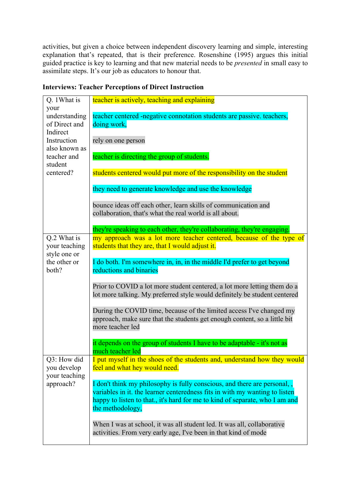activities, but given a choice between independent discovery learning and simple, interesting explanation that's repeated, that is their preference. Rosenshine (1995) argues this initial guided practice is key to learning and that new material needs to be *presented* in small easy to assimilate steps. It's our job as educators to honour that.

| Q. 1 What is                                       | teacher is actively, teaching and explaining                                                                                                                                                                                                               |
|----------------------------------------------------|------------------------------------------------------------------------------------------------------------------------------------------------------------------------------------------------------------------------------------------------------------|
| your<br>understanding<br>of Direct and<br>Indirect | teacher centered -negative connotation students are passive. teachers,<br>doing work,                                                                                                                                                                      |
| Instruction<br>also known as                       | rely on one person                                                                                                                                                                                                                                         |
| teacher and<br>student                             | teacher is directing the group of students.                                                                                                                                                                                                                |
| centered?                                          | students centered would put more of the responsibility on the student                                                                                                                                                                                      |
|                                                    | they need to generate knowledge and use the knowledge                                                                                                                                                                                                      |
|                                                    | bounce ideas off each other, learn skills of communication and<br>collaboration, that's what the real world is all about.                                                                                                                                  |
|                                                    | they're speaking to each other, they're collaborating, they're engaging.                                                                                                                                                                                   |
| Q.2 What is<br>your teaching<br>style one or       | my approach was a lot more teacher centered, because of the type of<br>students that they are, that I would adjust it.                                                                                                                                     |
| the other or<br>both?                              | I do both. I'm somewhere in, in, in the middle I'd prefer to get beyond<br>reductions and binaries                                                                                                                                                         |
|                                                    | Prior to COVID a lot more student centered, a lot more letting them do a<br>lot more talking. My preferred style would definitely be student centered                                                                                                      |
|                                                    | During the COVID time, because of the limited access I've changed my<br>approach, make sure that the students get enough content, so a little bit<br>more teacher led                                                                                      |
|                                                    | it depends on the group of students I have to be adaptable - it's not as<br>much teacher led                                                                                                                                                               |
| Q3: How did<br>you develop<br>your teaching        | I put myself in the shoes of the students and, understand how they would<br>feel and what hey would need.                                                                                                                                                  |
| approach?                                          | I don't think my philosophy is fully conscious, and there are personal,<br>variables in it, the learner centeredness fits in with my wanting to listen<br>happy to listen to that., it's hard for me to kind of separate, who I am and<br>the methodology, |
|                                                    | When I was at school, it was all student led. It was all, collaborative<br>activities. From very early age, I've been in that kind of mode                                                                                                                 |

## **Interviews: Teacher Perceptions of Direct Instruction**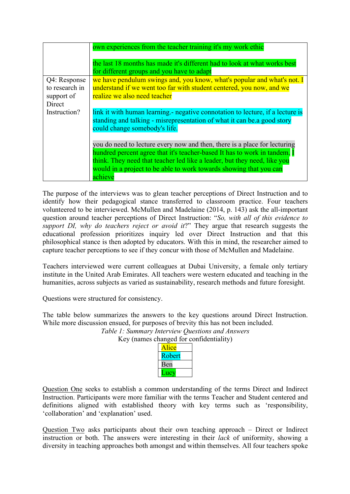|                | own experiences from the teacher training it's my work ethic                                                            |
|----------------|-------------------------------------------------------------------------------------------------------------------------|
|                | the last 18 months has made it's different had to look at what works best<br>for different groups and you have to adapt |
| Q4: Response   | we have pendulum swings and, you know, what's popular and what's not. I                                                 |
| to research in | understand if we went too far with student centered, you now, and we                                                    |
| support of     | realize we also need teacher                                                                                            |
| Direct         |                                                                                                                         |
| Instruction?   | link it with human learning.- negative connotation to lecture, if a lecture is                                          |
|                | standing and talking - misrepresentation of what it can be a good story                                                 |
|                | could change somebody's life.                                                                                           |
|                | you do need to lecture every now and then, there is a place for lecturing                                               |
|                | hundred percent agree that it's teacher-based It has to work in tandem. I                                               |
|                | think. They need that teacher led like a leader, but they need, like you                                                |
|                | would in a project to be able to work towards showing that you can                                                      |
|                | achieve                                                                                                                 |

The purpose of the interviews was to glean teacher perceptions of Direct Instruction and to identify how their pedagogical stance transferred to classroom practice. Four teachers volunteered to be interviewed. McMullen and Madelaine (2014, p. 143) ask the all-important question around teacher perceptions of Direct Instruction: "*So, with all of this evidence to support DI, why do teachers reject or avoid it?*" They argue that research suggests the educational profession prioritizes inquiry led over Direct Instruction and that this philosophical stance is then adopted by educators. With this in mind, the researcher aimed to capture teacher perceptions to see if they concur with those of McMullen and Madelaine.

Teachers interviewed were current colleagues at Dubai University, a female only tertiary institute in the United Arab Emirates. All teachers were western educated and teaching in the humanities, across subjects as varied as sustainability, research methods and future foresight.

Questions were structured for consistency.

The table below summarizes the answers to the key questions around Direct Instruction. While more discussion ensued, for purposes of brevity this has not been included.

*Table 1: Summary Interview Questions and Answers*

Key (names changed for confidentiality)

| lice   |  |
|--------|--|
| Robert |  |
| Ben    |  |
| н      |  |

Question One seeks to establish a common understanding of the terms Direct and Indirect Instruction. Participants were more familiar with the terms Teacher and Student centered and definitions aligned with established theory with key terms such as 'responsibility, 'collaboration' and 'explanation' used.

Question Two asks participants about their own teaching approach – Direct or Indirect instruction or both. The answers were interesting in their *lack* of uniformity, showing a diversity in teaching approaches both amongst and within themselves. All four teachers spoke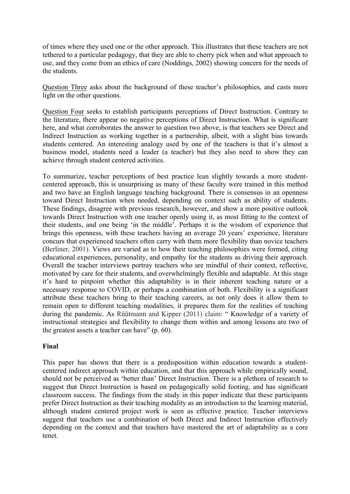of times where they used one or the other approach. This illustrates that these teachers are not tethered to a particular pedagogy, that they are able to cherry pick when and what approach to use, and they come from an ethics of care (Noddings, 2002) showing concern for the needs of the students.

Question Three asks about the background of these teacher's philosophies, and casts more light on the other questions.

Question Four seeks to establish participants perceptions of Direct Instruction. Contrary to the literature, there appear no negative perceptions of Direct Instruction. What is significant here, and what corroborates the answer to question two above, is that teachers see Direct and Indirect Instruction as working together in a partnership, albeit, with a slight bias towards students centered. An interesting analogy used by one of the teachers is that it's almost a business model, students need a leader (a teacher) but they also need to show they can achieve through student centered activities.

To summarize, teacher perceptions of best practice lean slightly towards a more studentcentered approach, this is unsurprising as many of these faculty were trained in this method and two have an English language teaching background. There is consensus in an openness toward Direct Instruction when needed, depending on context such as ability of students. These findings, disagree with previous research, however, and show a more positive outlook towards Direct Instruction with one teacher openly using it, as most fitting to the context of their students, and one being 'in the middle'. Perhaps it is the wisdom of experience that brings this openness, with these teachers having an average 20 years' experience, literature concurs that experienced teachers often carry with them more flexibility than novice teachers (Berliner, 2001). Views are varied as to how their teaching philosophies were formed, citing educational experiences, personality, and empathy for the students as driving their approach. Overall the teacher interviews portray teachers who are mindful of their context, reflective, motivated by care for their students, and overwhelmingly flexible and adaptable. At this stage it's hard to pinpoint whether this adaptability is in their inherent teaching nature or a necessary response to COVID, or perhaps a combination of both. Flexibility is a significant attribute these teachers bring to their teaching careers, as not only does it allow them to remain open to different teaching modalities, it prepares them for the realities of teaching during the pandemic. As Rüütmann and Kipper (2011) claim: " Knowledge of a variety of instructional strategies and flexibility to change them within and among lessons are two of the greatest assets a teacher can have" (p. 60).

## **Final**

This paper has shown that there is a predisposition within education towards a studentcentered indirect approach within education, and that this approach while empirically sound, should not be perceived as 'better than' Direct Instruction. There is a plethora of research to suggest that Direct Instruction is based on pedagogically solid footing, and has significant classroom success. The findings from the study in this paper indicate that these participants prefer Direct Instruction as their teaching modality as an introduction to the learning material, although student centered project work is seen as effective practice. Teacher interviews suggest that teachers use a combination of both Direct and Indirect Instruction effectively depending on the context and that teachers have mastered the art of adaptability as a core tenet.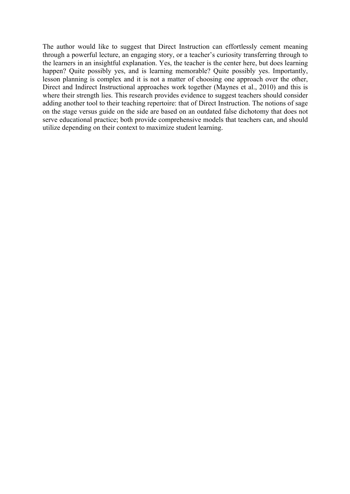The author would like to suggest that Direct Instruction can effortlessly cement meaning through a powerful lecture, an engaging story, or a teacher's curiosity transferring through to the learners in an insightful explanation. Yes, the teacher is the center here, but does learning happen? Quite possibly yes, and is learning memorable? Quite possibly yes. Importantly, lesson planning is complex and it is not a matter of choosing one approach over the other, Direct and Indirect Instructional approaches work together (Maynes et al., 2010) and this is where their strength lies. This research provides evidence to suggest teachers should consider adding another tool to their teaching repertoire: that of Direct Instruction. The notions of sage on the stage versus guide on the side are based on an outdated false dichotomy that does not serve educational practice; both provide comprehensive models that teachers can, and should utilize depending on their context to maximize student learning.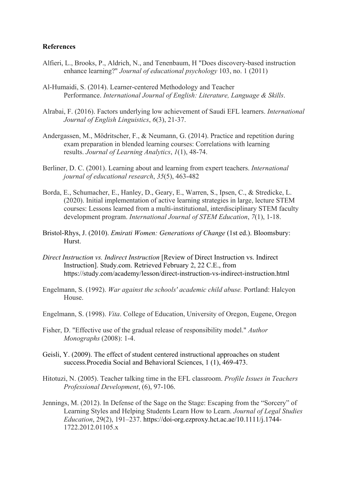#### **References**

- Alfieri, L., Brooks, P., Aldrich, N., and Tenenbaum, H "Does discovery-based instruction enhance learning?" *Journal of educational psychology* 103, no. 1 (2011)
- Al-Humaidi, S. (2014). Learner-centered Methodology and Teacher Performance. *International Journal of English: Literature, Language & Skills*.
- Alrabai, F. (2016). Factors underlying low achievement of Saudi EFL learners. *International Journal of English Linguistics*, *6*(3), 21-37.
- Andergassen, M., Mödritscher, F., & Neumann, G. (2014). Practice and repetition during exam preparation in blended learning courses: Correlations with learning results. *Journal of Learning Analytics*, *1*(1), 48-74.
- Berliner, D. C. (2001). Learning about and learning from expert teachers. *International journal of educational research*, *35*(5), 463-482
- Borda, E., Schumacher, E., Hanley, D., Geary, E., Warren, S., Ipsen, C., & Stredicke, L. (2020). Initial implementation of active learning strategies in large, lecture STEM courses: Lessons learned from a multi-institutional, interdisciplinary STEM faculty development program. *International Journal of STEM Education*, *7*(1), 1-18.
- Bristol-Rhys, J. (2010). *Emirati Women: Generations of Change* (1st ed.). Bloomsbury: Hurst.
- *Direct Instruction vs. Indirect Instruction* [Review of Direct Instruction vs. Indirect Instruction]. Study.com. Retrieved February 2, 22 C.E., from https://study.com/academy/lesson/direct-instruction-vs-indirect-instruction.html
- Engelmann, S. (1992). *War against the schools' academic child abuse.* Portland: Halcyon House.
- Engelmann, S. (1998). *Vita*. College of Education, University of Oregon, Eugene, Oregon
- Fisher, D. "Effective use of the gradual release of responsibility model." *Author Monographs* (2008): 1-4.
- Geisli, Y. (2009). The effect of student centered instructional approaches on student success.Procedia Social and Behavioral Sciences, 1 (1), 469-473.
- Hitotuzi, N. (2005). Teacher talking time in the EFL classroom. *Profile Issues in Teachers Professional Development*, (6), 97-106.
- Jennings, M. (2012). In Defense of the Sage on the Stage: Escaping from the "Sorcery" of Learning Styles and Helping Students Learn How to Learn. *Journal of Legal Studies Education*, 29(2), 191–237. https://doi-org.ezproxy.hct.ac.ae/10.1111/j.1744- 1722.2012.01105.x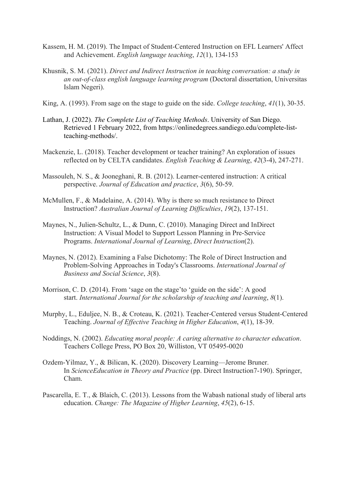- Kassem, H. M. (2019). The Impact of Student-Centered Instruction on EFL Learners' Affect and Achievement. *English language teaching*, *12*(1), 134-153
- Khusnik, S. M. (2021). *Direct and Indirect Instruction in teaching conversation: a study in an out-of-class english language learning program* (Doctoral dissertation, Universitas Islam Negeri).
- King, A. (1993). From sage on the stage to guide on the side. *College teaching*, *41*(1), 30-35.
- Lathan, J. (2022). *The Complete List of Teaching Methods*. University of San Diego. Retrieved 1 February 2022, from https://onlinedegrees.sandiego.edu/complete-listteaching-methods/.
- Mackenzie, L. (2018). Teacher development or teacher training? An exploration of issues reflected on by CELTA candidates. *English Teaching & Learning*, *42*(3-4), 247-271.
- Massouleh, N. S., & Jooneghani, R. B. (2012). Learner-centered instruction: A critical perspective. *Journal of Education and practice*, *3*(6), 50-59.
- McMullen, F., & Madelaine, A. (2014). Why is there so much resistance to Direct Instruction? *Australian Journal of Learning Difficulties*, *19*(2), 137-151.
- Maynes, N., Julien-Schultz, L., & Dunn, C. (2010). Managing Direct and InDirect Instruction: A Visual Model to Support Lesson Planning in Pre-Service Programs. *International Journal of Learning*, *Direct Instruction*(2).
- Maynes, N. (2012). Examining a False Dichotomy: The Role of Direct Instruction and Problem-Solving Approaches in Today's Classrooms. *International Journal of Business and Social Science*, *3*(8).
- Morrison, C. D. (2014). From 'sage on the stage'to 'guide on the side': A good start. *International Journal for the scholarship of teaching and learning*, *8*(1).
- Murphy, L., Eduljee, N. B., & Croteau, K. (2021). Teacher-Centered versus Student-Centered Teaching. *Journal of Effective Teaching in Higher Education*, *4*(1), 18-39.
- Noddings, N. (2002). *Educating moral people: A caring alternative to character education*. Teachers College Press, PO Box 20, Williston, VT 05495-0020
- Ozdem-Yilmaz, Y., & Bilican, K. (2020). Discovery Learning—Jerome Bruner. In *ScienceEducation in Theory and Practice* (pp. Direct Instruction7-190). Springer, Cham.
- Pascarella, E. T., & Blaich, C. (2013). Lessons from the Wabash national study of liberal arts education. *Change: The Magazine of Higher Learning*, *45*(2), 6-15.